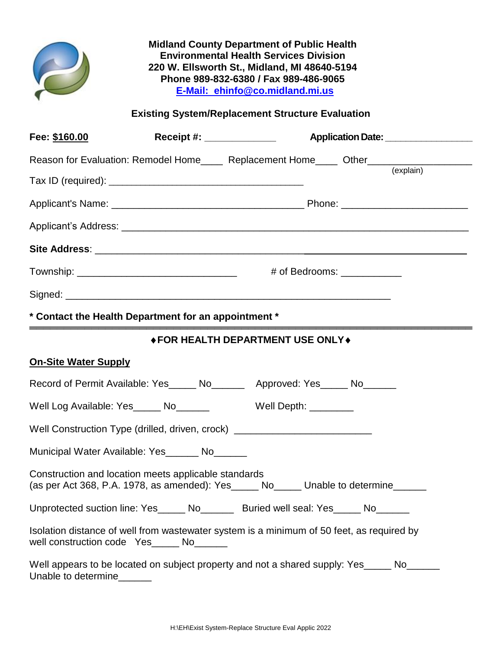**Midland County Department of Public Health Environmental Health Services Division 220 W. Ellsworth St., Midland, MI 48640-5194 Phone 989-832-6380 / Fax 989-486-9065 E-Mail: ehinfo@co.midland.mi.us**

**Existing System/Replacement Structure Evaluation**

| Fee: \$160.00                                                                                                                                   | Receipt #: _______________        |                              |  |
|-------------------------------------------------------------------------------------------------------------------------------------------------|-----------------------------------|------------------------------|--|
| Reason for Evaluation: Remodel Home____ Replacement Home____ Other______________                                                                |                                   |                              |  |
|                                                                                                                                                 |                                   |                              |  |
|                                                                                                                                                 |                                   |                              |  |
|                                                                                                                                                 |                                   |                              |  |
|                                                                                                                                                 |                                   |                              |  |
| Township: ___________________________________                                                                                                   |                                   | # of Bedrooms: _____________ |  |
|                                                                                                                                                 |                                   |                              |  |
| * Contact the Health Department for an appointment *                                                                                            |                                   |                              |  |
|                                                                                                                                                 | ◆ FOR HEALTH DEPARTMENT USE ONLY◆ | .                            |  |
| <b>On-Site Water Supply</b>                                                                                                                     |                                   |                              |  |
| Record of Permit Available: Yes_____ No_______ Approved: Yes_____ No______                                                                      |                                   |                              |  |
| Well Log Available: Yes______ No________ Well Depth: ________                                                                                   |                                   |                              |  |
| Well Construction Type (drilled, driven, crock) ________________________________                                                                |                                   |                              |  |
| Municipal Water Available: Yes No                                                                                                               |                                   |                              |  |
| Construction and location meets applicable standards<br>(as per Act 368, P.A. 1978, as amended): Yes ______ No______ Unable to determine ______ |                                   |                              |  |
| Unprotected suction line: Yes_____ No_______ Buried well seal: Yes_____ No______                                                                |                                   |                              |  |
| Isolation distance of well from wastewater system is a minimum of 50 feet, as required by<br>well construction code Yes_____ No______           |                                   |                              |  |
| Well appears to be located on subject property and not a shared supply: Yes_____ No_____<br>Unable to determine                                 |                                   |                              |  |